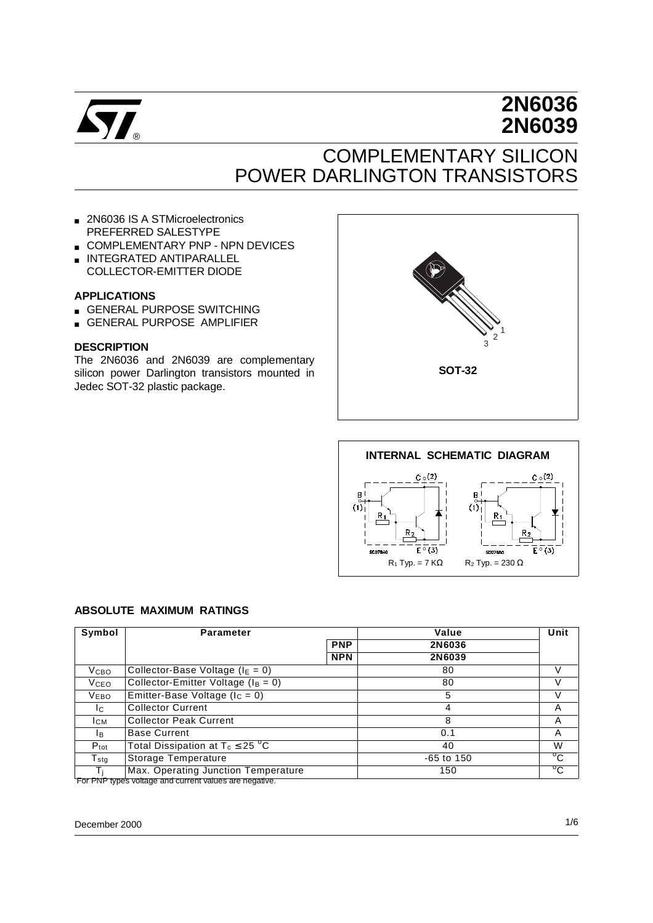

# **2N6036 2N6039**

# COMPLEMENTARY SILICON POWER DARLINGTON TRANSISTORS

- 2N6036 IS A STMicroelectronics PREFERRED SALESTYPE
- COMPLEMENTARY PNP NPN DEVICES
- INTEGRATED ANTIPARALLEL COLLECTOR-EMITTER DIODE

#### **APPLICATIONS**

- GENERAL PURPOSE SWITCHING
- GENERAL PURPOSE AMPLIFIER

#### **DESCRIPTION**

The 2N6036 and 2N6039 are complementary silicon power Darlington transistors mounted in Jedec SOT-32 plastic package.





#### **ABSOLUTE MAXIMUM RATINGS**

| Symbol              | <b>Parameter</b>                                                                             |            | Value        | Unit         |  |
|---------------------|----------------------------------------------------------------------------------------------|------------|--------------|--------------|--|
|                     |                                                                                              | <b>PNP</b> | 2N6036       |              |  |
|                     |                                                                                              | <b>NPN</b> | 2N6039       |              |  |
| Vсво                | Collector-Base Voltage ( $I_E = 0$ )                                                         |            | 80           | V            |  |
| Vсео                | Collector-Emitter Voltage ( $I_B = 0$ )                                                      |            | 80           | V            |  |
| <b>VEBO</b>         | Emitter-Base Voltage ( $I_c = 0$ )                                                           |            | 5            | V            |  |
| Ic.                 | <b>Collector Current</b>                                                                     |            | 4            | A            |  |
| Iсм                 | <b>Collector Peak Current</b>                                                                |            | 8            | A            |  |
| IB.                 | <b>Base Current</b>                                                                          |            | 0.1          | A            |  |
| $P_{\text{tot}}$    | Total Dissipation at $T_c \leq 25$ °C                                                        |            | 40           | W            |  |
| ${\sf T}_{\sf stg}$ | Storage Temperature                                                                          |            | $-65$ to 150 | $^{\circ}$ C |  |
|                     | Max. Operating Junction Temperature<br>Ear DND tupes voltage and ourrant volues are negative |            | 150          | $^{\circ}$ C |  |

For PNP types voltage and current values are negative.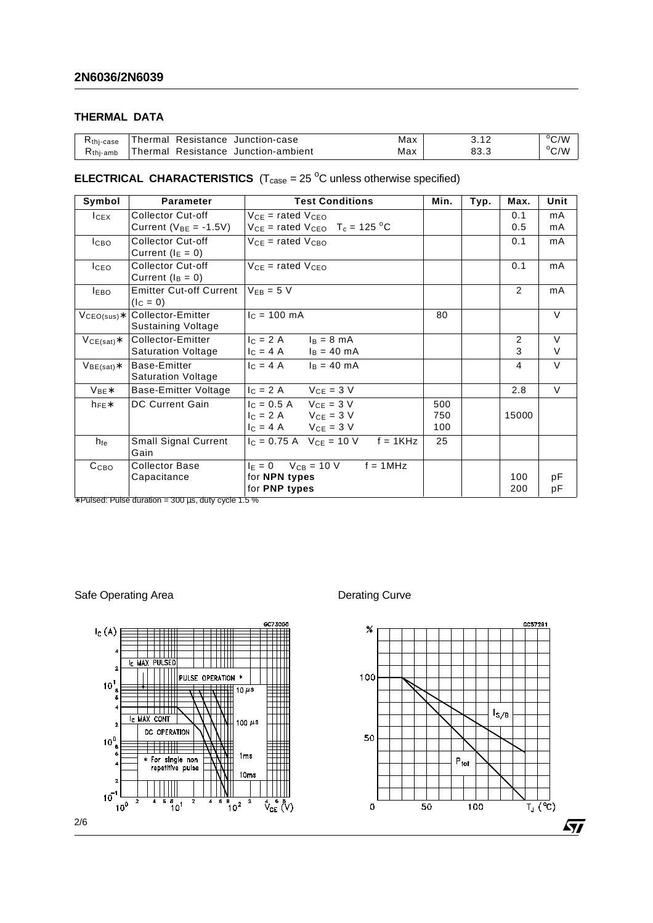## **THERMAL DATA**

| $R$ thi-case         |  | Thermal Resistance Junction-case    | Max |      | $\rm ^{o}C/M$ |
|----------------------|--|-------------------------------------|-----|------|---------------|
| $R_{\text{thi-amb}}$ |  | Thermal Resistance Junction-ambient | Max | 83.3 | $\rm ^{o}C/W$ |

## **ELECTRICAL CHARACTERISTICS**  $(T_{\text{case}} = 25 \text{ °C}$  unless otherwise specified)

| Symbol           | <b>Parameter</b>                                | <b>Test Conditions</b>                             | Min. | Typ. | Max.  | Unit   |
|------------------|-------------------------------------------------|----------------------------------------------------|------|------|-------|--------|
| $I_{CEX}$        | <b>Collector Cut-off</b>                        | $V_{CE}$ = rated $V_{CEO}$                         |      |      | 0.1   | mA     |
|                  | Current ( $V_{BE} = -1.5V$ )                    | $V_{CE}$ = rated $V_{CEO}$ T <sub>c</sub> = 125 °C |      |      | 0.5   | mA     |
| Ісво             | <b>Collector Cut-off</b><br>Current $(I_E = 0)$ | $V_{CE}$ = rated $V_{CBO}$                         |      |      | 0.1   | mA     |
| I <sub>CEO</sub> | Collector Cut-off<br>Current $(I_B = 0)$        | $V_{CE}$ = rated $V_{CEO}$                         |      |      | 0.1   | mA     |
| <b>IEBO</b>      | <b>Emitter Cut-off Current</b><br>$(I_C = 0)$   | $V_{FB} = 5 V$                                     |      |      | 2     | mA     |
| $VCEO(sus)*$     | Collector-Emitter<br>Sustaining Voltage         | $c = 100$ mA                                       | 80   |      |       | $\vee$ |
| $VCE(sat)*$      | Collector-Emitter                               | $c = 2A$<br>$I_B = 8 \text{ mA}$                   |      |      | 2     | $\vee$ |
|                  | <b>Saturation Voltage</b>                       | $c = 4A$<br>$I_B = 40 \text{ mA}$                  |      |      | 3     | V      |
| $V_{BE(sat)}$ *  | Base-Emitter<br><b>Saturation Voltage</b>       | $I_C = 4 A$<br>$I_B = 40 \text{ mA}$               |      |      | 4     | $\vee$ |
| $V_{BE}$ *       | Base-Emitter Voltage                            | $V_{CE} = 3 V$<br>$c = 2A$                         |      |      | 2.8   | V      |
| $h_{FE}$ *       | DC Current Gain                                 | $I_C = 0.5 A$ $V_{CE} = 3 V$                       | 500  |      |       |        |
|                  |                                                 | $I_C = 2 A$ $V_{CE} = 3 V$                         | 750  |      | 15000 |        |
|                  |                                                 | $I_C = 4 A$ $V_{CF} = 3 V$                         | 100  |      |       |        |
| h <sub>fe</sub>  | Small Signal Current<br>Gain                    | $I_C = 0.75$ A $V_{CE} = 10$ V $f = 1$ KHz         | 25   |      |       |        |
| Ссво             | <b>Collector Base</b>                           | $I_E = 0$ $V_{CB} = 10$ V<br>$f = 1MHz$            |      |      |       |        |
|                  | Capacitance                                     | for NPN types                                      |      |      | 100   | рF     |
|                  |                                                 | for PNP types                                      |      |      | 200   | рF     |

 $*$  Pulsed: Pulse duration = 300  $\mu$ s, duty cycle 1.5 %

Safe Operating Area **Derating Curve** Derating Curve



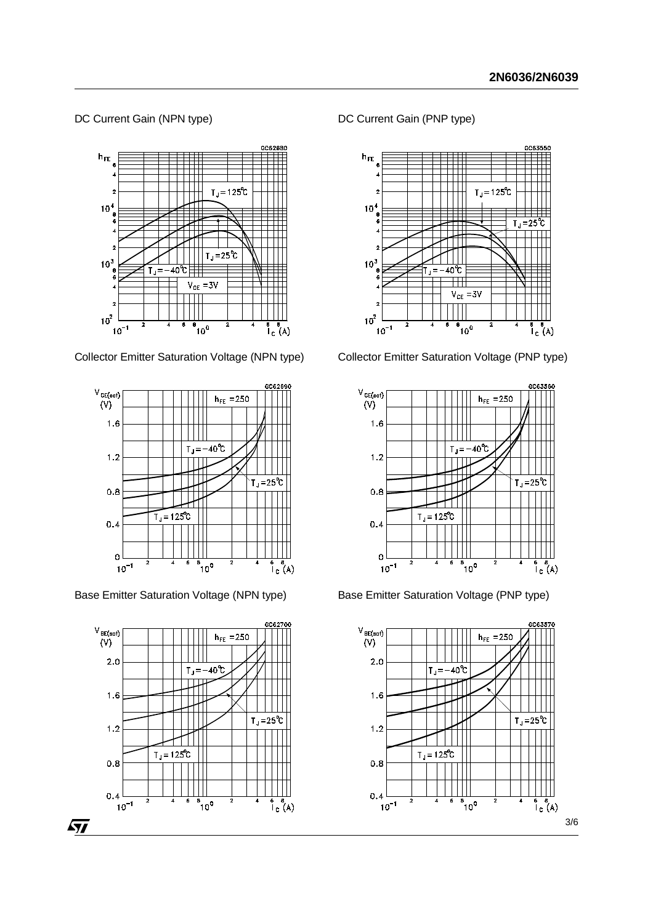#### DC Current Gain (NPN type)



Collector Emitter Saturation Voltage (NPN type)



Base Emitter Saturation Voltage (NPN type)



DC Current Gain (PNP type)



Collector Emitter Saturation Voltage (PNP type)



Base Emitter Saturation Voltage (PNP type)

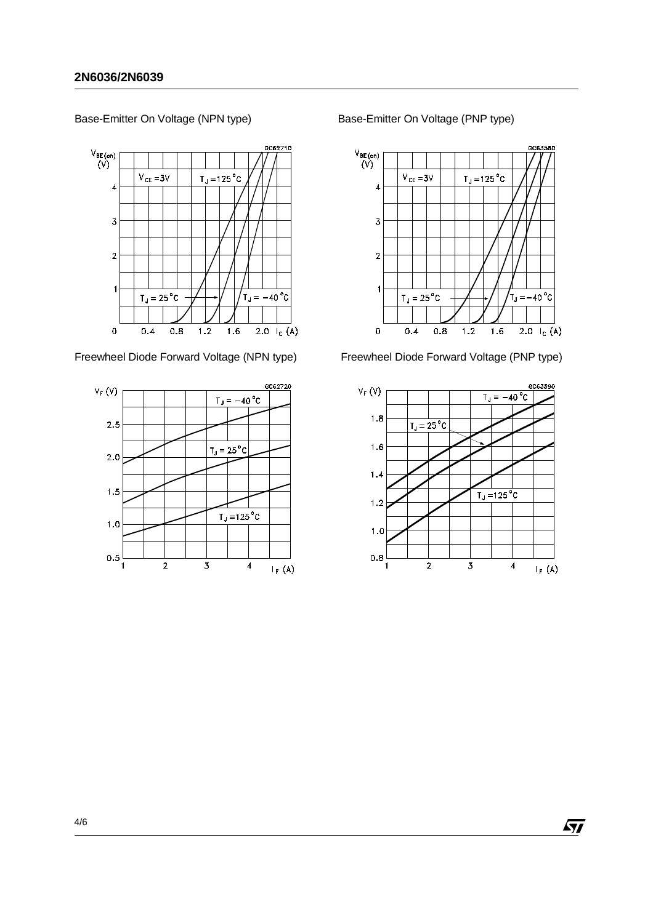GC62710  $V_{BE\, (on)}$ <br> $(V)$  $V_{CE} = 3V$  $T_J = 125 °C$  $\overline{4}$  $\overline{3}$  $\overline{2}$  $\mathbf{1}$  $T_{\rm d}$  = 25 $^{\circ}$ C  $T_{\text{J}} = -40 \degree C$  $\mathbf 0$  $0.8$  $1.2$  $1.6$ 2.0  $I_c(A)$  $0.4$ 

Base-Emitter On Voltage (NPN type)

Freewheel Diode Forward Voltage (NPN type)



Base-Emitter On Voltage (PNP type)



Freewheel Diode Forward Voltage (PNP type)



 $\sqrt{1}$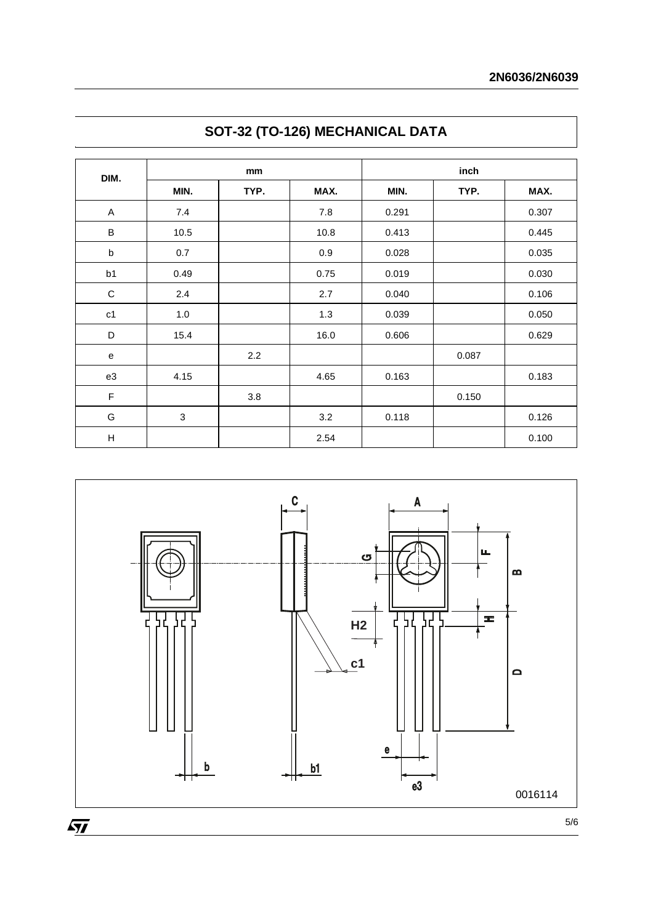| DIM.         | mm             |      |      | inch  |       |       |  |
|--------------|----------------|------|------|-------|-------|-------|--|
|              | MIN.           | TYP. | MAX. | MIN.  | TYP.  | MAX.  |  |
| $\mathsf{A}$ | 7.4            |      | 7.8  | 0.291 |       | 0.307 |  |
| $\sf B$      | 10.5           |      | 10.8 | 0.413 |       | 0.445 |  |
| $\sf b$      | 0.7            |      | 0.9  | 0.028 |       | 0.035 |  |
| b1           | 0.49           |      | 0.75 | 0.019 |       | 0.030 |  |
| $\mathbf C$  | 2.4            |      | 2.7  | 0.040 |       | 0.106 |  |
| c1           | 1.0            |      | 1.3  | 0.039 |       | 0.050 |  |
| D            | 15.4           |      | 16.0 | 0.606 |       | 0.629 |  |
| ${\bf e}$    |                | 2.2  |      |       | 0.087 |       |  |
| e3           | 4.15           |      | 4.65 | 0.163 |       | 0.183 |  |
| F            |                | 3.8  |      |       | 0.150 |       |  |
| G            | $\mathfrak{S}$ |      | 3.2  | 0.118 |       | 0.126 |  |
| $\mathsf{H}$ |                |      | 2.54 |       |       | 0.100 |  |





 $\sqrt{M}$ 

5/6